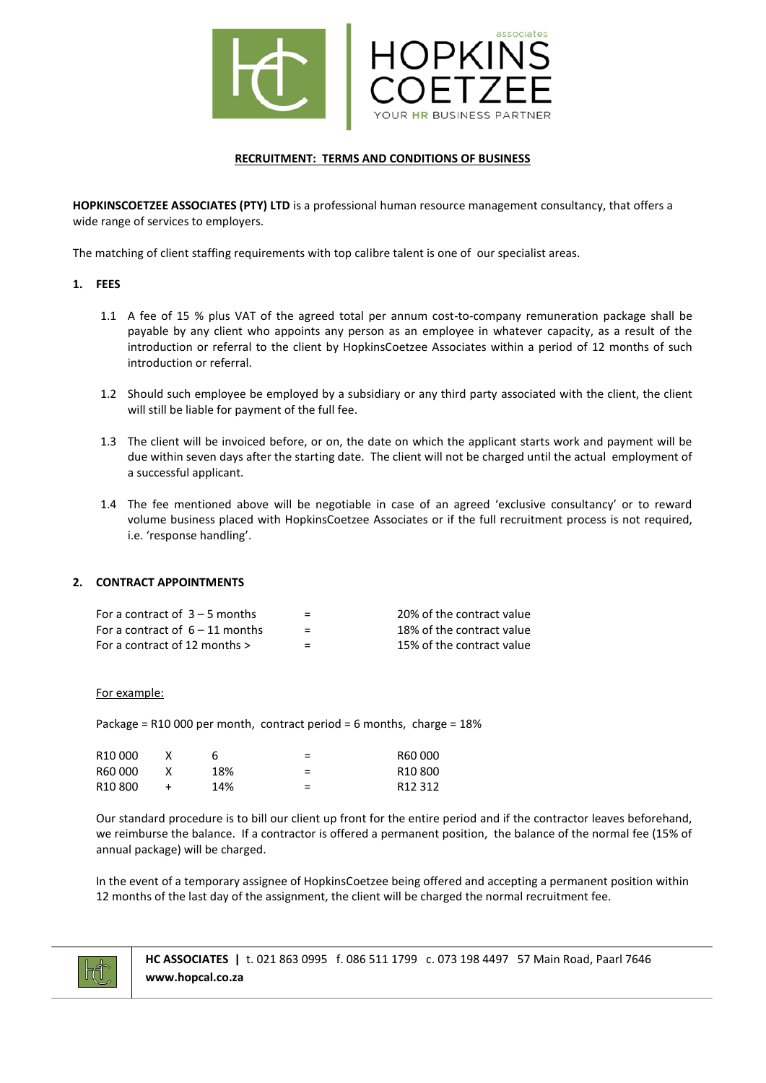

### **RECRUITMENT: TERMS AND CONDITIONS OF BUSINESS**

**HOPKINSCOETZEE ASSOCIATES (PTY) LTD** is a professional human resource management consultancy, that offers a wide range of services to employers.

The matching of client staffing requirements with top calibre talent is one of our specialist areas.

#### **1. FEES**

- 1.1 A fee of 15 % plus VAT of the agreed total per annum cost-to-company remuneration package shall be payable by any client who appoints any person as an employee in whatever capacity, as a result of the introduction or referral to the client by HopkinsCoetzee Associates within a period of 12 months of such introduction or referral.
- 1.2 Should such employee be employed by a subsidiary or any third party associated with the client, the client will still be liable for payment of the full fee.
- 1.3 The client will be invoiced before, or on, the date on which the applicant starts work and payment will be due within seven days after the starting date. The client will not be charged until the actual employment of a successful applicant.
- 1.4 The fee mentioned above will be negotiable in case of an agreed 'exclusive consultancy' or to reward volume business placed with HopkinsCoetzee Associates or if the full recruitment process is not required, i.e. 'response handling'.

## **2. CONTRACT APPOINTMENTS**

| For a contract of $3 - 5$ months  | $\equiv$ | 20% of the contract value |
|-----------------------------------|----------|---------------------------|
| For a contract of $6 - 11$ months | $\equiv$ | 18% of the contract value |
| For a contract of 12 months $>$   | =        | 15% of the contract value |

For example:

Package = R10 000 per month, contract period = 6 months, charge = 18%

| R <sub>10</sub> 000 |     | = | R60 000             |
|---------------------|-----|---|---------------------|
| R60000              | 18% | = | R <sub>10</sub> 800 |
| R <sub>10</sub> 800 | 14% | = | R <sub>12</sub> 312 |

Our standard procedure is to bill our client up front for the entire period and if the contractor leaves beforehand, we reimburse the balance. If a contractor is offered a permanent position, the balance of the normal fee (15% of annual package) will be charged.

In the event of a temporary assignee of HopkinsCoetzee being offered and accepting a permanent position within 12 months of the last day of the assignment, the client will be charged the normal recruitment fee.



 **HC ASSOCIATES |** t. 021 863 0995 f. 086 511 1799 c. 073 198 4497 57 Main Road, Paarl 7646  **www.hopcal.co.za**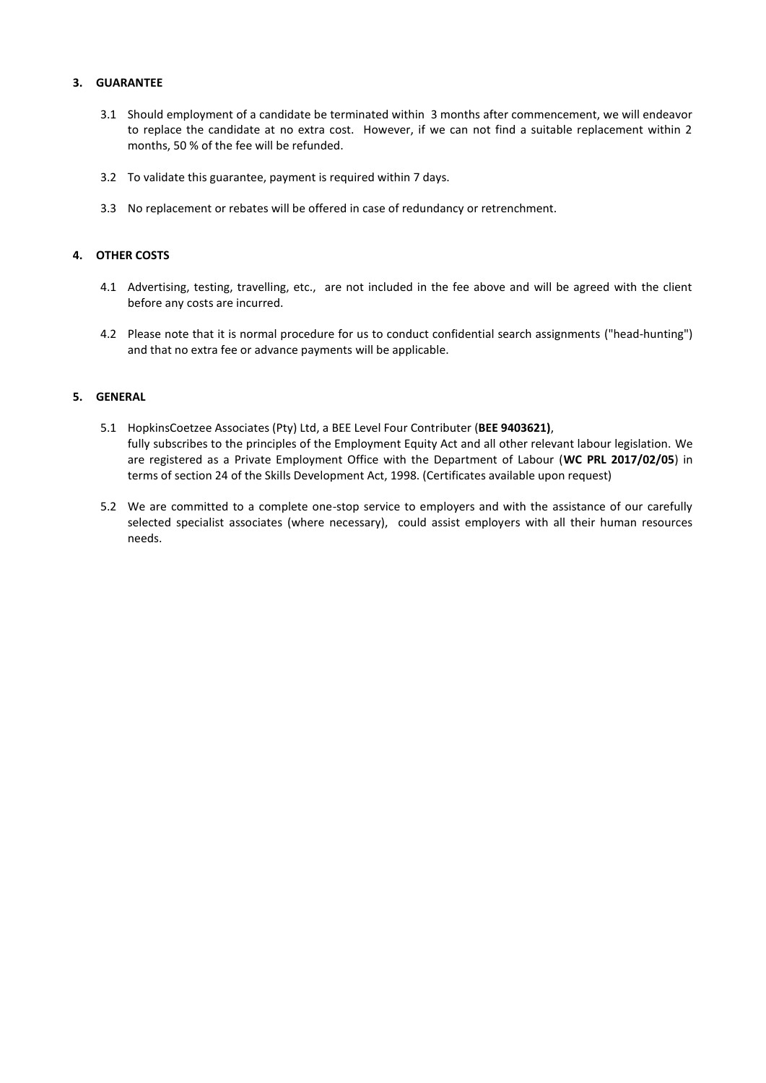### **3. GUARANTEE**

- 3.1 Should employment of a candidate be terminated within 3 months after commencement, we will endeavor to replace the candidate at no extra cost. However, if we can not find a suitable replacement within 2 months, 50 % of the fee will be refunded.
- 3.2 To validate this guarantee, payment is required within 7 days.
- 3.3 No replacement or rebates will be offered in case of redundancy or retrenchment.

### **4. OTHER COSTS**

- 4.1 Advertising, testing, travelling, etc., are not included in the fee above and will be agreed with the client before any costs are incurred.
- 4.2 Please note that it is normal procedure for us to conduct confidential search assignments ("head-hunting") and that no extra fee or advance payments will be applicable.

#### **5. GENERAL**

- 5.1 HopkinsCoetzee Associates (Pty) Ltd, a BEE Level Four Contributer (**BEE 9403621)**, fully subscribes to the principles of the Employment Equity Act and all other relevant labour legislation. We are registered as a Private Employment Office with the Department of Labour (**WC PRL 2017/02/05**) in terms of section 24 of the Skills Development Act, 1998. (Certificates available upon request)
- 5.2 We are committed to a complete one-stop service to employers and with the assistance of our carefully selected specialist associates (where necessary), could assist employers with all their human resources needs.